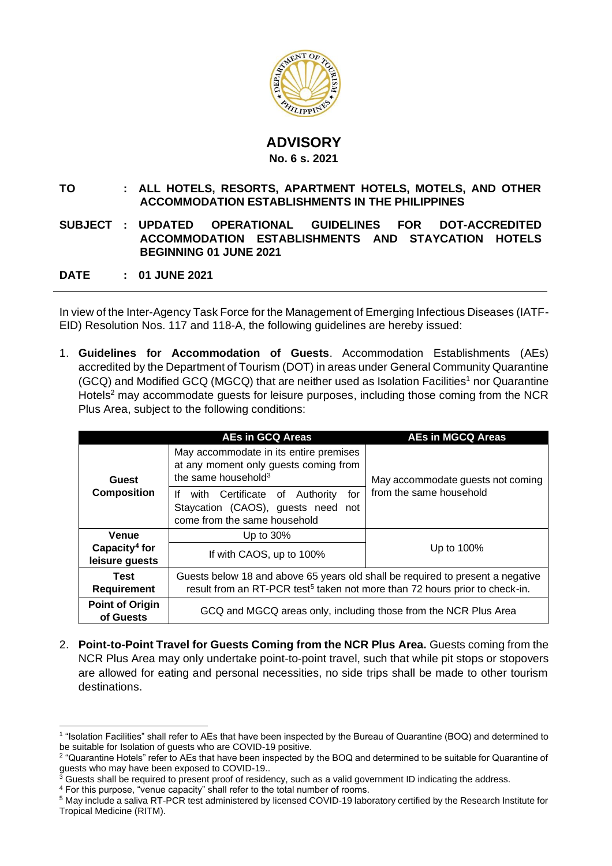

## **ADVISORY No. 6 s. 2021**

## **TO : ALL HOTELS, RESORTS, APARTMENT HOTELS, MOTELS, AND OTHER ACCOMMODATION ESTABLISHMENTS IN THE PHILIPPINES**

## **SUBJECT : UPDATED OPERATIONAL GUIDELINES FOR DOT-ACCREDITED ACCOMMODATION ESTABLISHMENTS AND STAYCATION HOTELS BEGINNING 01 JUNE 2021**

**DATE : 01 JUNE 2021**

In view of the Inter-Agency Task Force for the Management of Emerging Infectious Diseases (IATF-EID) Resolution Nos. 117 and 118-A, the following guidelines are hereby issued:

1. **Guidelines for Accommodation of Guests**. Accommodation Establishments (AEs) accredited by the Department of Tourism (DOT) in areas under General Community Quarantine  $(GCQ)$  and Modified GCQ (MGCQ) that are neither used as Isolation Facilities<sup>1</sup> nor Quarantine Hotels<sup>2</sup> may accommodate quests for leisure purposes, including those coming from the NCR Plus Area, subject to the following conditions:

|                                             | <b>AEs in GCQ Areas</b>                                                                                                                                                   | <b>AEs in MGCQ Areas</b>                                     |
|---------------------------------------------|---------------------------------------------------------------------------------------------------------------------------------------------------------------------------|--------------------------------------------------------------|
| Guest<br><b>Composition</b>                 | May accommodate in its entire premises<br>at any moment only guests coming from<br>the same household <sup>3</sup>                                                        | May accommodate guests not coming<br>from the same household |
|                                             | If with Certificate of Authority<br>for<br>Staycation (CAOS), guests need<br>not<br>come from the same household                                                          |                                                              |
| Venue                                       | Up to $30\%$                                                                                                                                                              |                                                              |
| Capacity <sup>4</sup> for<br>leisure guests | If with CAOS, up to 100%                                                                                                                                                  | Up to 100%                                                   |
| Test<br><b>Requirement</b>                  | Guests below 18 and above 65 years old shall be required to present a negative<br>result from an RT-PCR test <sup>5</sup> taken not more than 72 hours prior to check-in. |                                                              |
| <b>Point of Origin</b><br>of Guests         | GCQ and MGCQ areas only, including those from the NCR Plus Area                                                                                                           |                                                              |

2. **Point-to-Point Travel for Guests Coming from the NCR Plus Area.** Guests coming from the NCR Plus Area may only undertake point-to-point travel, such that while pit stops or stopovers are allowed for eating and personal necessities, no side trips shall be made to other tourism destinations.

<sup>1</sup> "Isolation Facilities" shall refer to AEs that have been inspected by the Bureau of Quarantine (BOQ) and determined to be suitable for Isolation of guests who are COVID-19 positive.

<sup>2</sup> "Quarantine Hotels" refer to AEs that have been inspected by the BOQ and determined to be suitable for Quarantine of guests who may have been exposed to COVID-19..

 $3$  Guests shall be required to present proof of residency, such as a valid government ID indicating the address.

<sup>4</sup> For this purpose, "venue capacity" shall refer to the total number of rooms.

<sup>5</sup> May include a saliva RT-PCR test administered by licensed COVID-19 laboratory certified by the Research Institute for Tropical Medicine (RITM).